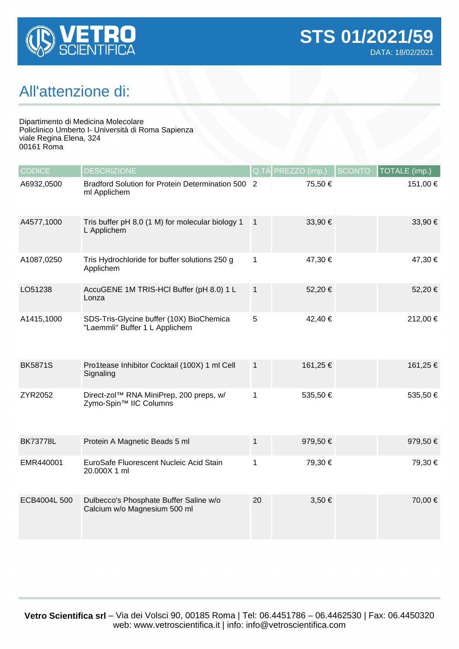

## All'attenzione di:

Dipartimento di Medicina Molecolare Policlinico Umberto I- Università di Roma Sapienza viale Regina Elena, 324 00161 Roma

| <b>CODICE</b>   | <b>DESCRIZIONE</b>                                                         | Q.TA           | PREZZO (imp.) | SCONTO | TOTALE (imp.) |
|-----------------|----------------------------------------------------------------------------|----------------|---------------|--------|---------------|
| A6932,0500      | Bradford Solution for Protein Determination 500 2<br>ml Applichem          |                | 75,50 €       |        | 151,00 €      |
| A4577,1000      | Tris buffer pH 8.0 (1 M) for molecular biology 1<br>L Applichem            | $\overline{1}$ | 33,90 €       |        | 33,90 €       |
| A1087,0250      | Tris Hydrochloride for buffer solutions 250 g<br>Applichem                 | 1              | 47,30 €       |        | 47,30 €       |
| LO51238         | AccuGENE 1M TRIS-HCI Buffer (pH 8.0) 1 L<br>Lonza                          | $\mathbf{1}$   | 52,20 €       |        | 52,20 €       |
| A1415,1000      | SDS-Tris-Glycine buffer (10X) BioChemica<br>"Laemmli" Buffer 1 L Applichem | 5              | 42,40 €       |        | 212,00 €      |
| <b>BK5871S</b>  | Pro1tease Inhibitor Cocktail (100X) 1 ml Cell<br>Signaling                 | $\mathbf{1}$   | 161,25 €      |        | 161,25 €      |
| ZYR2052         | Direct-zol™ RNA MiniPrep, 200 preps, w/<br>Zymo-Spin™ IIC Columns          | 1              | 535,50€       |        | 535,50€       |
| <b>BK73778L</b> | Protein A Magnetic Beads 5 ml                                              | $\mathbf 1$    | 979,50 €      |        | 979,50 €      |
| EMR440001       | EuroSafe Fluorescent Nucleic Acid Stain<br>20.000X 1 ml                    | 1              | 79,30 €       |        | 79,30 €       |
| ECB4004L 500    | Dulbecco's Phosphate Buffer Saline w/o<br>Calcium w/o Magnesium 500 ml     | 20             | $3,50 \in$    |        | 70,00 €       |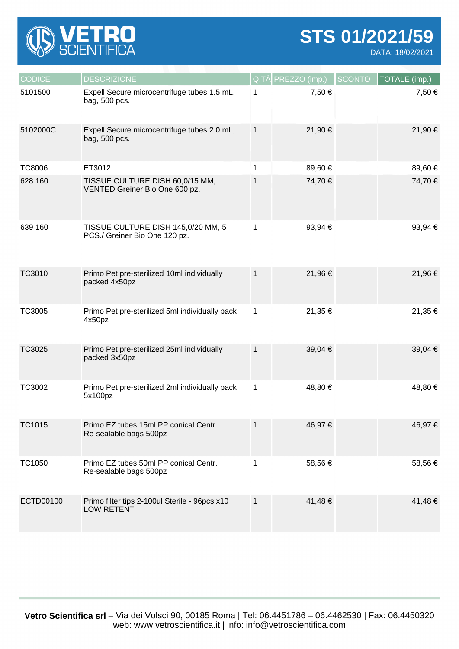

**STS 01/2021/59**

DATA: 18/02/2021

| <b>CODICE</b> | <b>DESCRIZIONE</b>                                                  |              | $Q.T\triangle PREZZO (imp.)$ | <b>SCONTO</b> | <b>TOTALE</b> (imp.) |
|---------------|---------------------------------------------------------------------|--------------|------------------------------|---------------|----------------------|
| 5101500       | Expell Secure microcentrifuge tubes 1.5 mL,<br>bag, 500 pcs.        | $\mathbf 1$  | 7,50 €                       |               | 7,50 €               |
| 5102000C      | Expell Secure microcentrifuge tubes 2.0 mL,<br>bag, 500 pcs.        | $\mathbf{1}$ | 21,90 €                      |               | 21,90 €              |
| <b>TC8006</b> | ET3012                                                              | 1            | 89,60 €                      |               | 89,60 €              |
| 628 160       | TISSUE CULTURE DISH 60,0/15 MM,<br>VENTED Greiner Bio One 600 pz.   | 1            | 74,70 €                      |               | 74,70 €              |
| 639 160       | TISSUE CULTURE DISH 145,0/20 MM, 5<br>PCS./ Greiner Bio One 120 pz. | 1            | 93,94 €                      |               | 93,94 €              |
| TC3010        | Primo Pet pre-sterilized 10ml individually<br>packed 4x50pz         | $\mathbf 1$  | 21,96€                       |               | 21,96 €              |
| <b>TC3005</b> | Primo Pet pre-sterilized 5ml individually pack<br>4x50pz            | 1            | 21,35 €                      |               | 21,35 €              |
| TC3025        | Primo Pet pre-sterilized 25ml individually<br>packed 3x50pz         | $\mathbf{1}$ | 39,04 €                      |               | 39,04 €              |
| TC3002        | Primo Pet pre-sterilized 2ml individually pack<br>5x100pz           | 1            | 48,80€                       |               | 48,80 €              |
| <b>TC1015</b> | Primo EZ tubes 15ml PP conical Centr.<br>Re-sealable bags 500pz     | $\mathbf{1}$ | 46,97€                       |               | 46,97 €              |
| TC1050        | Primo EZ tubes 50ml PP conical Centr.<br>Re-sealable bags 500pz     | 1            | 58,56€                       |               | 58,56€               |
| ECTD00100     | Primo filter tips 2-100ul Sterile - 96pcs x10<br><b>LOW RETENT</b>  | 1            | 41,48€                       |               | 41,48 €              |